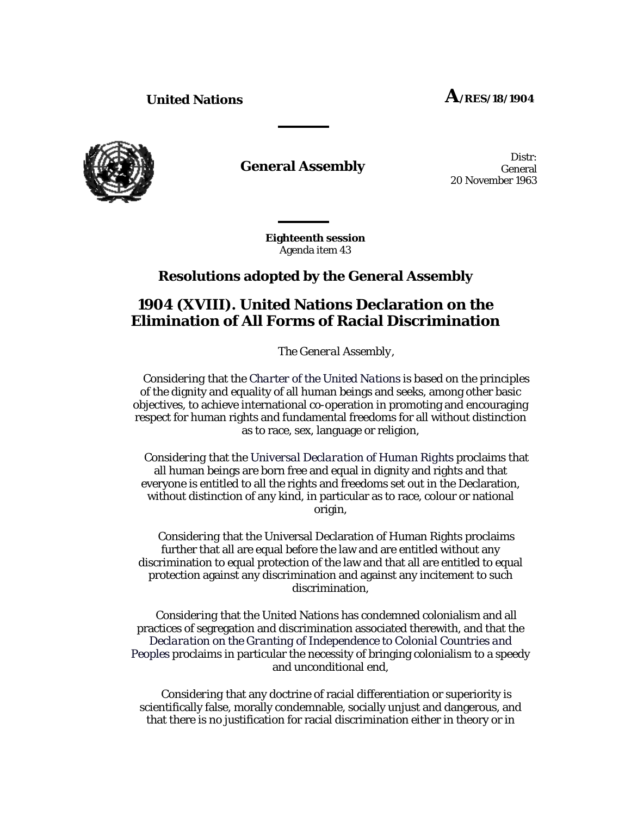



**General Assembly** 

Distr: General 20 November 1963

**Eighteenth session**  Agenda item 43

# **Resolutions adopted by the General Assembly**

## **1904 (XVIII). United Nations Declaration on the Elimination of All Forms of Racial Discrimination**

*The General Assembly*,

*Considering* that the *Charter of the United Nations* is based on the principles of the dignity and equality of all human beings and seeks, among other basic objectives, to achieve international co-operation in promoting and encouraging respect for human rights and fundamental freedoms for all without distinction as to race, sex, language or religion,

*Considering* that the *Universal Declaration of Human Rights* proclaims that all human beings are born free and equal in dignity and rights and that everyone is entitled to all the rights and freedoms set out in the Declaration, without distinction of any kind, in particular as to race, colour or national origin,

*Considering* that the Universal Declaration of Human Rights proclaims further that all are equal before the law and are entitled without any discrimination to equal protection of the law and that all are entitled to equal protection against any discrimination and against any incitement to such discrimination,

*Considering* that the United Nations has condemned colonialism and all practices of segregation and discrimination associated therewith, and that the *Declaration on the Granting of Independence to Colonial Countries and Peoples* proclaims in particular the necessity of bringing colonialism to a speedy and unconditional end,

*Considering* that any doctrine of racial differentiation or superiority is scientifically false, morally condemnable, socially unjust and dangerous, and that there is no justification for racial discrimination either in theory or in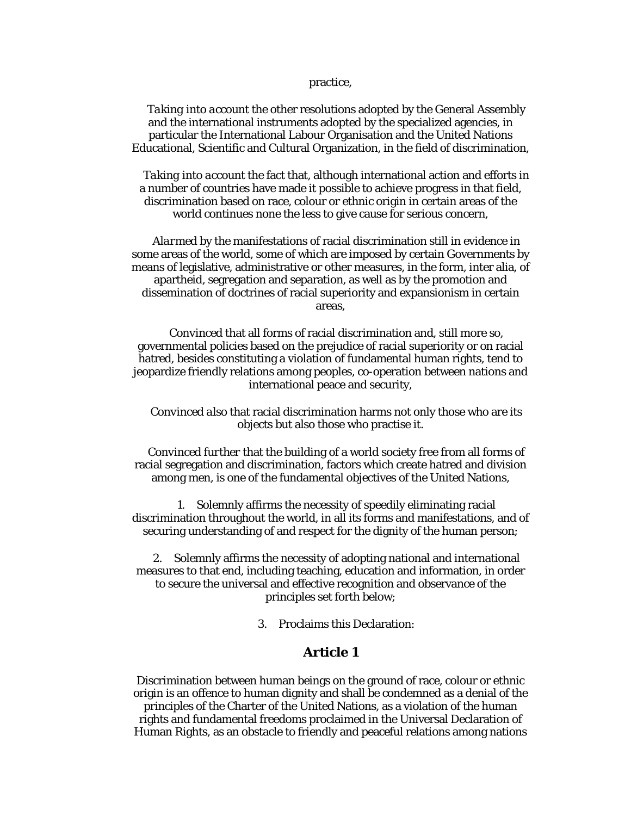#### practice,

*Taking into account* the other resolutions adopted by the General Assembly and the international instruments adopted by the specialized agencies, in particular the International Labour Organisation and the United Nations Educational, Scientific and Cultural Organization, in the field of discrimination,

*Taking into account* the fact that, although international action and efforts in a number of countries have made it possible to achieve progress in that field, discrimination based on race, colour or ethnic origin in certain areas of the world continues none the less to give cause for serious concern,

*Alarmed* by the manifestations of racial discrimination still in evidence in some areas of the world, some of which are imposed by certain Governments by means of legislative, administrative or other measures, in the form, inter alia, of apartheid, segregation and separation, as well as by the promotion and dissemination of doctrines of racial superiority and expansionism in certain areas,

*Convinced* that all forms of racial discrimination and, still more so, governmental policies based on the prejudice of racial superiority or on racial hatred, besides constituting a violation of fundamental human rights, tend to jeopardize friendly relations among peoples, co-operation between nations and international peace and security,

*Convinced also* that racial discrimination harms not only those who are its objects but also those who practise it.

*Convinced further* that the building of a world society free from all forms of racial segregation and discrimination, factors which create hatred and division among men, is one of the fundamental objectives of the United Nations,

1. Solemnly affirms the necessity of speedily eliminating racial discrimination throughout the world, in all its forms and manifestations, and of securing understanding of and respect for the dignity of the human person;

2. Solemnly affirms the necessity of adopting national and international measures to that end, including teaching, education and information, in order to secure the universal and effective recognition and observance of the principles set forth below;

3. Proclaims this Declaration:

## **Article 1**

Discrimination between human beings on the ground of race, colour or ethnic origin is an offence to human dignity and shall be condemned as a denial of the principles of the Charter of the United Nations, as a violation of the human rights and fundamental freedoms proclaimed in the Universal Declaration of Human Rights, as an obstacle to friendly and peaceful relations among nations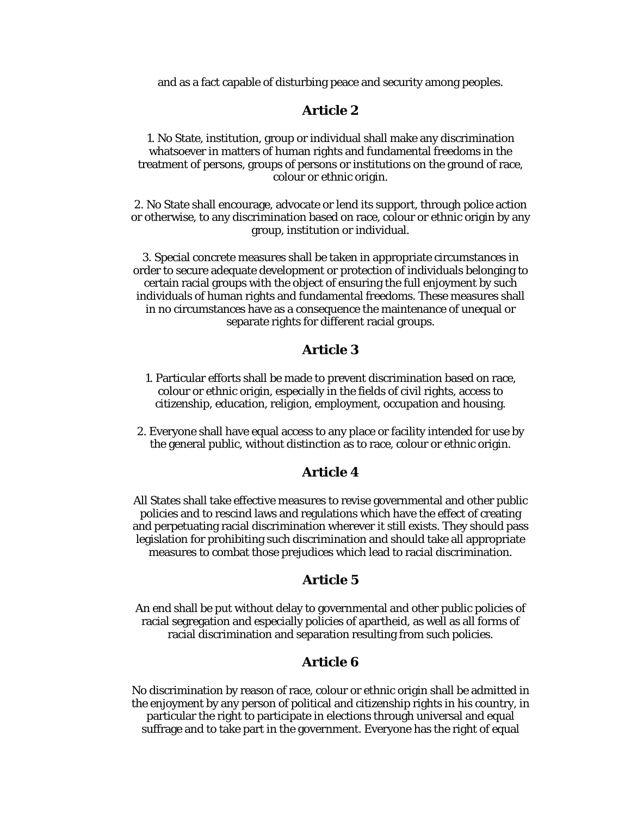and as a fact capable of disturbing peace and security among peoples.

#### **Article 2**

1. No State, institution, group or individual shall make any discrimination whatsoever in matters of human rights and fundamental freedoms in the treatment of persons, groups of persons or institutions on the ground of race, colour or ethnic origin.

2. No State shall encourage, advocate or lend its support, through police action or otherwise, to any discrimination based on race, colour or ethnic origin by any group, institution or individual.

3. Special concrete measures shall be taken in appropriate circumstances in order to secure adequate development or protection of individuals belonging to certain racial groups with the object of ensuring the full enjoyment by such individuals of human rights and fundamental freedoms. These measures shall in no circumstances have as a consequence the maintenance of unequal or separate rights for different racial groups.

## **Article 3**

- 1. Particular efforts shall be made to prevent discrimination based on race, colour or ethnic origin, especially in the fields of civil rights, access to citizenship, education, religion, employment, occupation and housing.
- 2. Everyone shall have equal access to any place or facility intended for use by the general public, without distinction as to race, colour or ethnic origin.

## **Article 4**

All States shall take effective measures to revise governmental and other public policies and to rescind laws and regulations which have the effect of creating and perpetuating racial discrimination wherever it still exists. They should pass legislation for prohibiting such discrimination and should take all appropriate measures to combat those prejudices which lead to racial discrimination.

#### **Article 5**

An end shall be put without delay to governmental and other public policies of racial segregation and especially policies of apartheid, as well as all forms of racial discrimination and separation resulting from such policies.

## **Article 6**

No discrimination by reason of race, colour or ethnic origin shall be admitted in the enjoyment by any person of political and citizenship rights in his country, in particular the right to participate in elections through universal and equal suffrage and to take part in the government. Everyone has the right of equal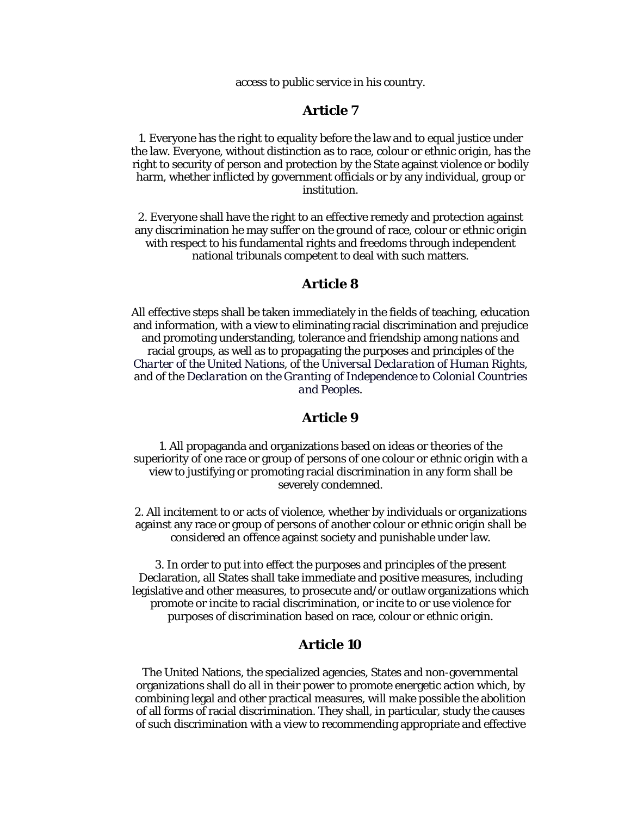access to public service in his country.

#### **Article 7**

1. Everyone has the right to equality before the law and to equal justice under the law. Everyone, without distinction as to race, colour or ethnic origin, has the right to security of person and protection by the State against violence or bodily harm, whether inflicted by government officials or by any individual, group or institution.

2. Everyone shall have the right to an effective remedy and protection against any discrimination he may suffer on the ground of race, colour or ethnic origin with respect to his fundamental rights and freedoms through independent national tribunals competent to deal with such matters.

## **Article 8**

All effective steps shall be taken immediately in the fields of teaching, education and information, with a view to eliminating racial discrimination and prejudice and promoting understanding, tolerance and friendship among nations and racial groups, as well as to propagating the purposes and principles of the *Charter of the United Nations*, of the *Universal Declaration of Human Rights*, and of the *Declaration on the Granting of Independence to Colonial Countries and Peoples*.

## **Article 9**

1. All propaganda and organizations based on ideas or theories of the superiority of one race or group of persons of one colour or ethnic origin with a view to justifying or promoting racial discrimination in any form shall be severely condemned.

2. All incitement to or acts of violence, whether by individuals or organizations against any race or group of persons of another colour or ethnic origin shall be considered an offence against society and punishable under law.

3. In order to put into effect the purposes and principles of the present Declaration, all States shall take immediate and positive measures, including legislative and other measures, to prosecute and/or outlaw organizations which promote or incite to racial discrimination, or incite to or use violence for purposes of discrimination based on race, colour or ethnic origin.

#### **Article 10**

The United Nations, the specialized agencies, States and non-governmental organizations shall do all in their power to promote energetic action which, by combining legal and other practical measures, will make possible the abolition of all forms of racial discrimination. They shall, in particular, study the causes of such discrimination with a view to recommending appropriate and effective